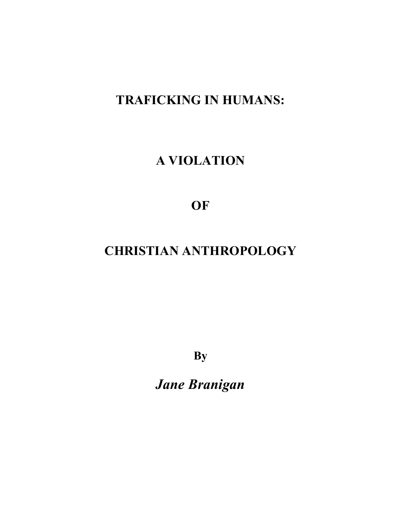# **TRAFICKING IN HUMANS:**

# **A VIOLATION**

**OF**

# **CHRISTIAN ANTHROPOLOGY**

**By**

*Jane Branigan*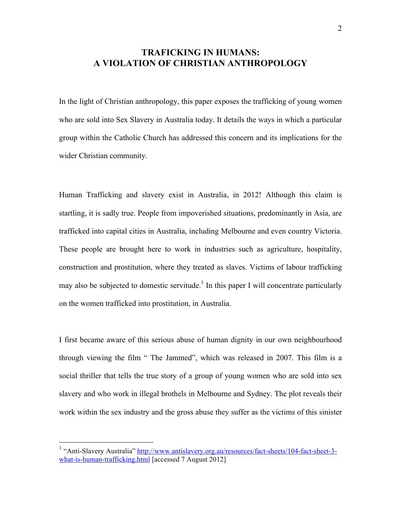# **TRAFICKING IN HUMANS: A VIOLATION OF CHRISTIAN ANTHROPOLOGY**

In the light of Christian anthropology, this paper exposes the trafficking of young women who are sold into Sex Slavery in Australia today. It details the ways in which a particular group within the Catholic Church has addressed this concern and its implications for the wider Christian community.

Human Trafficking and slavery exist in Australia, in 2012! Although this claim is startling, it is sadly true. People from impoverished situations, predominantly in Asia, are trafficked into capital cities in Australia, including Melbourne and even country Victoria. These people are brought here to work in industries such as agriculture, hospitality, construction and prostitution, where they treated as slaves. Victims of labour trafficking may also be subjected to domestic servitude.<sup>1</sup> In this paper I will concentrate particularly on the women trafficked into prostitution, in Australia.

I first became aware of this serious abuse of human dignity in our own neighbourhood through viewing the film " The Jammed", which was released in 2007. This film is a social thriller that tells the true story of a group of young women who are sold into sex slavery and who work in illegal brothels in Melbourne and Sydney. The plot reveals their work within the sex industry and the gross abuse they suffer as the victims of this sinister

<sup>&</sup>lt;sup>1</sup> "Anti-Slavery Australia" http://www.antislavery.org.au/resources/fact-sheets/104-fact-sheet-3what-is-human-trafficking.html [accessed 7 August 2012]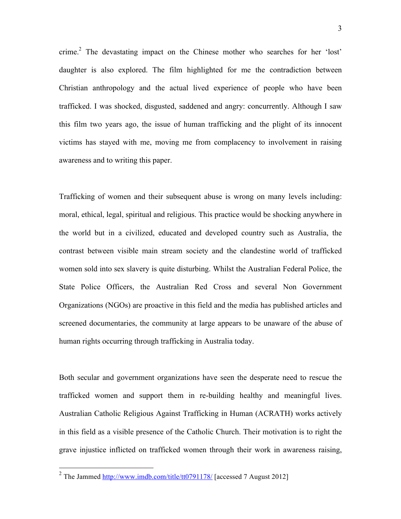crime.<sup>2</sup> The devastating impact on the Chinese mother who searches for her 'lost' daughter is also explored. The film highlighted for me the contradiction between Christian anthropology and the actual lived experience of people who have been trafficked. I was shocked, disgusted, saddened and angry: concurrently. Although I saw this film two years ago, the issue of human trafficking and the plight of its innocent victims has stayed with me, moving me from complacency to involvement in raising awareness and to writing this paper.

Trafficking of women and their subsequent abuse is wrong on many levels including: moral, ethical, legal, spiritual and religious. This practice would be shocking anywhere in the world but in a civilized, educated and developed country such as Australia, the contrast between visible main stream society and the clandestine world of trafficked women sold into sex slavery is quite disturbing. Whilst the Australian Federal Police, the State Police Officers, the Australian Red Cross and several Non Government Organizations (NGOs) are proactive in this field and the media has published articles and screened documentaries, the community at large appears to be unaware of the abuse of human rights occurring through trafficking in Australia today.

Both secular and government organizations have seen the desperate need to rescue the trafficked women and support them in re-building healthy and meaningful lives. Australian Catholic Religious Against Trafficking in Human (ACRATH) works actively in this field as a visible presence of the Catholic Church. Their motivation is to right the grave injustice inflicted on trafficked women through their work in awareness raising,

<sup>&</sup>lt;sup>2</sup> The Jammed http://www.imdb.com/title/tt0791178/ [accessed 7 August 2012]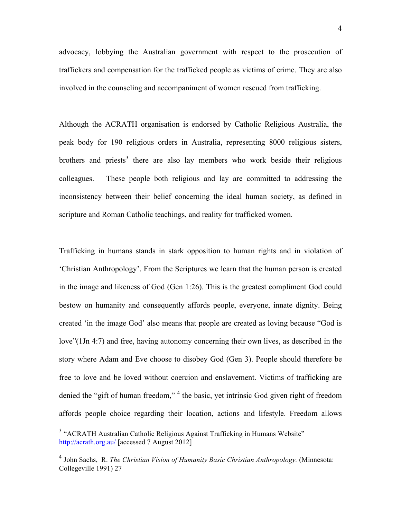advocacy, lobbying the Australian government with respect to the prosecution of traffickers and compensation for the trafficked people as victims of crime. They are also involved in the counseling and accompaniment of women rescued from trafficking.

Although the ACRATH organisation is endorsed by Catholic Religious Australia, the peak body for 190 religious orders in Australia, representing 8000 religious sisters, brothers and priests<sup>3</sup> there are also lay members who work beside their religious colleagues. These people both religious and lay are committed to addressing the inconsistency between their belief concerning the ideal human society, as defined in scripture and Roman Catholic teachings, and reality for trafficked women.

Trafficking in humans stands in stark opposition to human rights and in violation of 'Christian Anthropology'. From the Scriptures we learn that the human person is created in the image and likeness of God (Gen 1:26). This is the greatest compliment God could bestow on humanity and consequently affords people, everyone, innate dignity. Being created 'in the image God' also means that people are created as loving because "God is love"(1Jn 4:7) and free, having autonomy concerning their own lives, as described in the story where Adam and Eve choose to disobey God (Gen 3). People should therefore be free to love and be loved without coercion and enslavement. Victims of trafficking are denied the "gift of human freedom,"<sup>4</sup> the basic, yet intrinsic God given right of freedom affords people choice regarding their location, actions and lifestyle. Freedom allows

<sup>&</sup>lt;sup>3</sup> "ACRATH Australian Catholic Religious Against Trafficking in Humans Website" http://acrath.org.au/ [accessed 7 August 2012]

<sup>4</sup> John Sachs, R. *The Christian Vision of Humanity Basic Christian Anthropology.* (Minnesota: Collegeville 1991) 27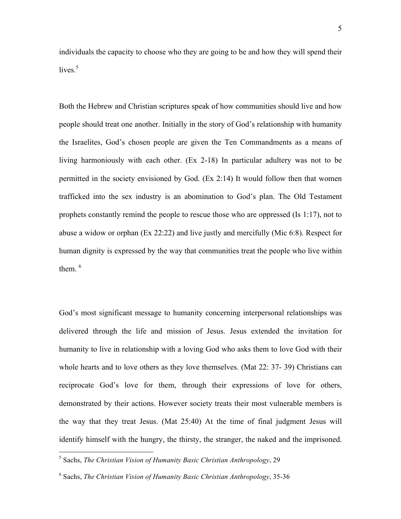individuals the capacity to choose who they are going to be and how they will spend their lives. 5

Both the Hebrew and Christian scriptures speak of how communities should live and how people should treat one another. Initially in the story of God's relationship with humanity the Israelites, God's chosen people are given the Ten Commandments as a means of living harmoniously with each other. (Ex 2-18) In particular adultery was not to be permitted in the society envisioned by God. (Ex 2:14) It would follow then that women trafficked into the sex industry is an abomination to God's plan. The Old Testament prophets constantly remind the people to rescue those who are oppressed (Is 1:17), not to abuse a widow or orphan (Ex 22:22) and live justly and mercifully (Mic 6:8). Respect for human dignity is expressed by the way that communities treat the people who live within them  $6$ 

God's most significant message to humanity concerning interpersonal relationships was delivered through the life and mission of Jesus. Jesus extended the invitation for humanity to live in relationship with a loving God who asks them to love God with their whole hearts and to love others as they love themselves. (Mat 22: 37- 39) Christians can reciprocate God's love for them, through their expressions of love for others, demonstrated by their actions. However society treats their most vulnerable members is the way that they treat Jesus. (Mat 25:40) At the time of final judgment Jesus will identify himself with the hungry, the thirsty, the stranger, the naked and the imprisoned.

 $\frac{1}{5}$ <sup>5</sup> Sachs, *The Christian Vision of Humanity Basic Christian Anthropology*, 29

<sup>6</sup> Sachs, *The Christian Vision of Humanity Basic Christian Anthropology*, 35-36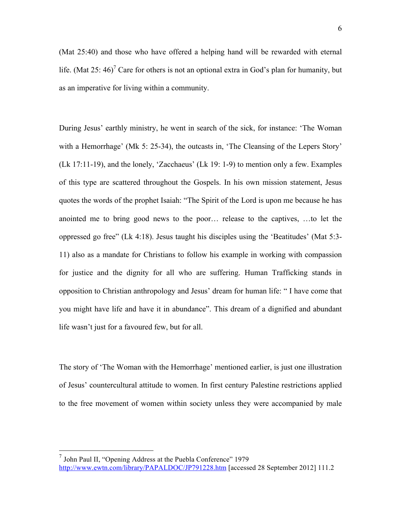(Mat 25:40) and those who have offered a helping hand will be rewarded with eternal life. (Mat 25: 46)<sup>7</sup> Care for others is not an optional extra in God's plan for humanity, but as an imperative for living within a community.

During Jesus' earthly ministry, he went in search of the sick, for instance: 'The Woman with a Hemorrhage' (Mk 5: 25-34), the outcasts in, 'The Cleansing of the Lepers Story' (Lk 17:11-19), and the lonely, 'Zacchaeus' (Lk 19: 1-9) to mention only a few. Examples of this type are scattered throughout the Gospels. In his own mission statement, Jesus quotes the words of the prophet Isaiah: "The Spirit of the Lord is upon me because he has anointed me to bring good news to the poor… release to the captives, …to let the oppressed go free" (Lk 4:18). Jesus taught his disciples using the 'Beatitudes' (Mat 5:3- 11) also as a mandate for Christians to follow his example in working with compassion for justice and the dignity for all who are suffering. Human Trafficking stands in opposition to Christian anthropology and Jesus' dream for human life: " I have come that you might have life and have it in abundance". This dream of a dignified and abundant life wasn't just for a favoured few, but for all.

The story of 'The Woman with the Hemorrhage' mentioned earlier, is just one illustration of Jesus' countercultural attitude to women. In first century Palestine restrictions applied to the free movement of women within society unless they were accompanied by male

 7 John Paul II, "Opening Address at the Puebla Conference" 1979 http://www.ewtn.com/library/PAPALDOC/JP791228.htm [accessed 28 September 2012] 111.2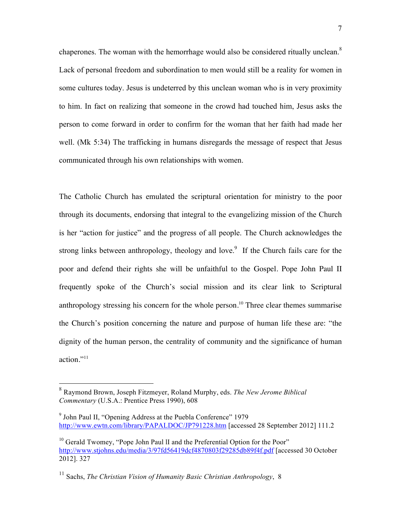chaperones. The woman with the hemorrhage would also be considered ritually unclean.<sup>8</sup> Lack of personal freedom and subordination to men would still be a reality for women in some cultures today. Jesus is undeterred by this unclean woman who is in very proximity to him. In fact on realizing that someone in the crowd had touched him, Jesus asks the person to come forward in order to confirm for the woman that her faith had made her well. (Mk 5:34) The trafficking in humans disregards the message of respect that Jesus communicated through his own relationships with women.

The Catholic Church has emulated the scriptural orientation for ministry to the poor through its documents, endorsing that integral to the evangelizing mission of the Church is her "action for justice" and the progress of all people. The Church acknowledges the strong links between anthropology, theology and love.<sup>9</sup> If the Church fails care for the poor and defend their rights she will be unfaithful to the Gospel. Pope John Paul II frequently spoke of the Church's social mission and its clear link to Scriptural anthropology stressing his concern for the whole person.<sup>10</sup> Three clear themes summarise the Church's position concerning the nature and purpose of human life these are: "the dignity of the human person, the centrality of community and the significance of human action."<sup>11</sup>

 <sup>8</sup> Raymond Brown, Joseph Fitzmeyer, Roland Murphy, eds. *The New Jerome Biblical Commentary* (U.S.A.: Prentice Press 1990), 608

<sup>&</sup>lt;sup>9</sup> John Paul II, "Opening Address at the Puebla Conference" 1979 http://www.ewtn.com/library/PAPALDOC/JP791228.htm [accessed 28 September 2012] 111.2

 $10$  Gerald Twomey, "Pope John Paul II and the Preferential Option for the Poor" http://www.stjohns.edu/media/3/97fd56419dcf4870803f29285db89f4f.pdf [accessed 30 October 2012]. 327

<sup>11</sup> Sachs, *The Christian Vision of Humanity Basic Christian Anthropology*, 8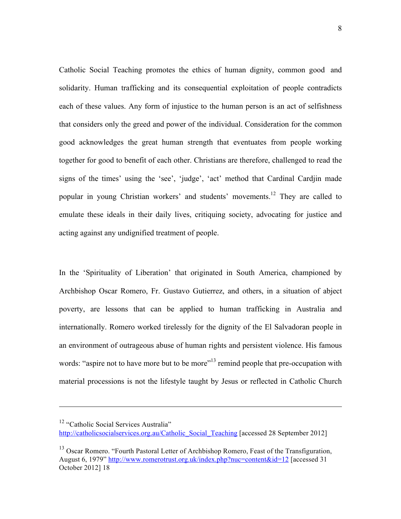Catholic Social Teaching promotes the ethics of human dignity, common good and solidarity. Human trafficking and its consequential exploitation of people contradicts each of these values. Any form of injustice to the human person is an act of selfishness that considers only the greed and power of the individual. Consideration for the common good acknowledges the great human strength that eventuates from people working together for good to benefit of each other. Christians are therefore, challenged to read the signs of the times' using the 'see', 'judge', 'act' method that Cardinal Cardjin made popular in young Christian workers' and students' movements. <sup>12</sup> They are called to emulate these ideals in their daily lives, critiquing society, advocating for justice and acting against any undignified treatment of people.

In the 'Spirituality of Liberation' that originated in South America, championed by Archbishop Oscar Romero, Fr. Gustavo Gutierrez, and others, in a situation of abject poverty, are lessons that can be applied to human trafficking in Australia and internationally. Romero worked tirelessly for the dignity of the El Salvadoran people in an environment of outrageous abuse of human rights and persistent violence. His famous words: "aspire not to have more but to be more"<sup>13</sup> remind people that pre-occupation with material processions is not the lifestyle taught by Jesus or reflected in Catholic Church

1

<sup>&</sup>lt;sup>12</sup> "Catholic Social Services Australia"

http://catholicsocialservices.org.au/Catholic\_Social\_Teaching [accessed 28 September 2012]

<sup>&</sup>lt;sup>13</sup> Oscar Romero. "Fourth Pastoral Letter of Archbishop Romero, Feast of the Transfiguration, August 6, 1979" http://www.romerotrust.org.uk/index.php?nuc=content&id=12 [accessed 31 October 2012] 18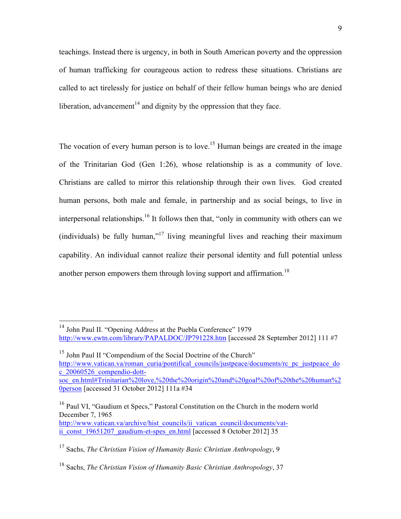teachings. Instead there is urgency, in both in South American poverty and the oppression of human trafficking for courageous action to redress these situations. Christians are called to act tirelessly for justice on behalf of their fellow human beings who are denied liberation, advancement<sup>14</sup> and dignity by the oppression that they face.

The vocation of every human person is to love.<sup>15</sup> Human beings are created in the image of the Trinitarian God (Gen 1:26), whose relationship is as a community of love. Christians are called to mirror this relationship through their own lives. God created human persons, both male and female, in partnership and as social beings, to live in interpersonal relationships.<sup>16</sup> It follows then that, "only in community with others can we (individuals) be fully human,<sup> $17$ </sup> living meaningful lives and reaching their maximum capability. An individual cannot realize their personal identity and full potential unless another person empowers them through loving support and affirmation.<sup>18</sup>

<sup>15</sup> John Paul II "Compendium of the Social Doctrine of the Church" http://www.vatican.va/roman\_curia/pontifical\_councils/justpeace/documents/rc\_pc\_justpeace\_do c\_20060526\_compendio-dottsoc\_en.html#Trinitarian%20love,%20the%20origin%20and%20goal%20of%20the%20human%2 0person [accessed 31 October 2012] 111a #34

<sup>16</sup> Paul VI, "Gaudium et Specs," Pastoral Constitution on the Church in the modern world December 7, 1965 http://www.vatican.va/archive/hist\_councils/ii\_vatican\_council/documents/vatii const 19651207 gaudium-et-spes en.html [accessed 8 October 2012] 35

<sup>&</sup>lt;sup>14</sup> John Paul II. "Opening Address at the Puebla Conference" 1979 http://www.ewtn.com/library/PAPALDOC/JP791228.htm [accessed 28 September 2012] 111 #7

<sup>17</sup> Sachs, *The Christian Vision of Humanity Basic Christian Anthropology*, 9

<sup>18</sup> Sachs, *The Christian Vision of Humanity Basic Christian Anthropology*, 37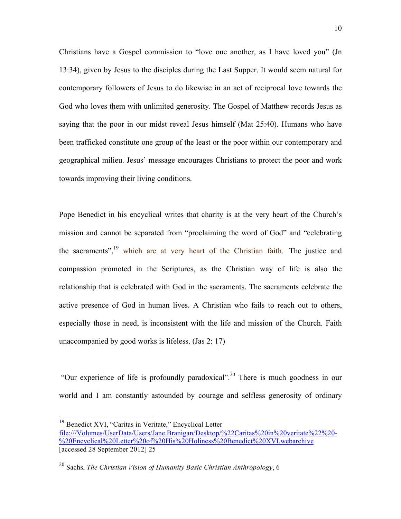Christians have a Gospel commission to "love one another, as I have loved you" (Jn 13:34), given by Jesus to the disciples during the Last Supper. It would seem natural for contemporary followers of Jesus to do likewise in an act of reciprocal love towards the God who loves them with unlimited generosity. The Gospel of Matthew records Jesus as saying that the poor in our midst reveal Jesus himself (Mat 25:40). Humans who have been trafficked constitute one group of the least or the poor within our contemporary and geographical milieu. Jesus' message encourages Christians to protect the poor and work towards improving their living conditions.

Pope Benedict in his encyclical writes that charity is at the very heart of the Church's mission and cannot be separated from "proclaiming the word of God" and "celebrating the sacraments",<sup>19</sup> which are at very heart of the Christian faith. The justice and compassion promoted in the Scriptures, as the Christian way of life is also the relationship that is celebrated with God in the sacraments. The sacraments celebrate the active presence of God in human lives. A Christian who fails to reach out to others, especially those in need, is inconsistent with the life and mission of the Church. Faith unaccompanied by good works is lifeless. (Jas 2: 17)

 "Our experience of life is profoundly paradoxical".20 There is much goodness in our world and I am constantly astounded by courage and selfless generosity of ordinary

 <sup>19</sup> Benedict XVI, "Caritas in Veritate," Encyclical Letter file:///Volumes/UserData/Users/Jane.Branigan/Desktop/%22Caritas%20in%20veritate%22%20- %20Encyclical%20Letter%20of%20His%20Holiness%20Benedict%20XVI.webarchive [accessed 28 September 2012] 25

<sup>20</sup> Sachs, *The Christian Vision of Humanity Basic Christian Anthropology*, 6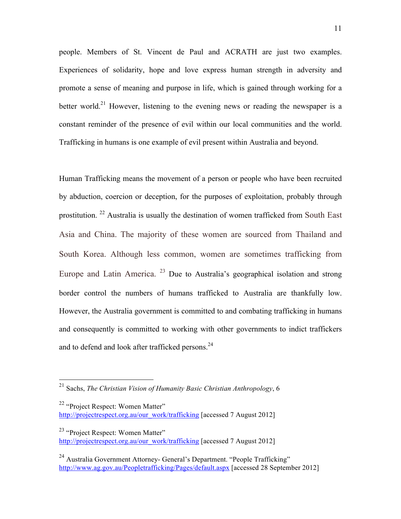people. Members of St. Vincent de Paul and ACRATH are just two examples. Experiences of solidarity, hope and love express human strength in adversity and promote a sense of meaning and purpose in life, which is gained through working for a better world.<sup>21</sup> However, listening to the evening news or reading the newspaper is a constant reminder of the presence of evil within our local communities and the world. Trafficking in humans is one example of evil present within Australia and beyond.

Human Trafficking means the movement of a person or people who have been recruited by abduction, coercion or deception, for the purposes of exploitation, probably through prostitution. <sup>22</sup> Australia is usually the destination of women trafficked from South East Asia and China. The majority of these women are sourced from Thailand and South Korea. Although less common, women are sometimes trafficking from Europe and Latin America.  $^{23}$  Due to Australia's geographical isolation and strong border control the numbers of humans trafficked to Australia are thankfully low. However, the Australia government is committed to and combating trafficking in humans and consequently is committed to working with other governments to indict traffickers and to defend and look after trafficked persons.<sup>24</sup>

<sup>22</sup> "Project Respect: Women Matter" http://projectrespect.org.au/our\_work/trafficking [accessed 7 August 2012]

 <sup>21</sup> Sachs, *The Christian Vision of Humanity Basic Christian Anthropology*, 6

<sup>&</sup>lt;sup>23</sup> "Project Respect: Women Matter" http://projectrespect.org.au/our\_work/trafficking [accessed 7 August 2012]

<sup>&</sup>lt;sup>24</sup> Australia Government Attorney- General's Department. "People Trafficking" http://www.ag.gov.au/Peopletrafficking/Pages/default.aspx [accessed 28 September 2012]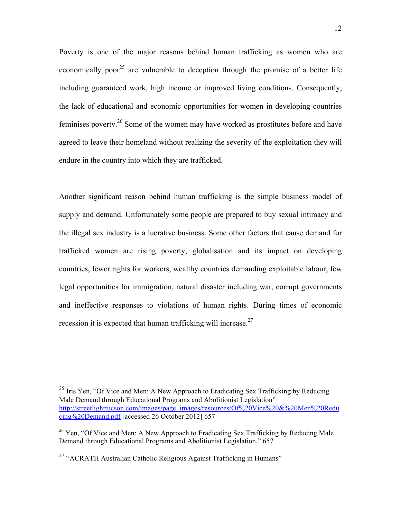Poverty is one of the major reasons behind human trafficking as women who are economically poor<sup>25</sup> are vulnerable to deception through the promise of a better life including guaranteed work, high income or improved living conditions. Consequently, the lack of educational and economic opportunities for women in developing countries feminises poverty.<sup>26</sup> Some of the women may have worked as prostitutes before and have agreed to leave their homeland without realizing the severity of the exploitation they will endure in the country into which they are trafficked.

Another significant reason behind human trafficking is the simple business model of supply and demand. Unfortunately some people are prepared to buy sexual intimacy and the illegal sex industry is a lucrative business. Some other factors that cause demand for trafficked women are rising poverty, globalisation and its impact on developing countries, fewer rights for workers, wealthy countries demanding exploitable labour, few legal opportunities for immigration, natural disaster including war, corrupt governments and ineffective responses to violations of human rights. During times of economic recession it is expected that human trafficking will increase.<sup>27</sup>

<sup>&</sup>lt;sup>25</sup> Iris Yen, "Of Vice and Men: A New Approach to Eradicating Sex Trafficking by Reducing Male Demand through Educational Programs and Abolitionist Legislation" http://streetlighttucson.com/images/page\_images/resources/Of%20Vice%20&%20Men%20Redu cing%20Demand.pdf [accessed 26 October 2012] 657

 $26$  Yen, "Of Vice and Men: A New Approach to Eradicating Sex Trafficking by Reducing Male Demand through Educational Programs and Abolitionist Legislation," 657

<sup>&</sup>lt;sup>27</sup> "ACRATH Australian Catholic Religious Against Trafficking in Humans"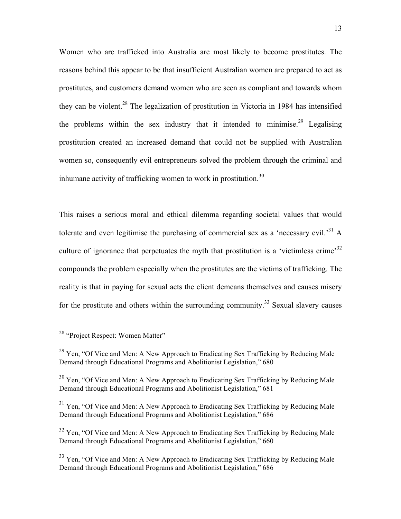Women who are trafficked into Australia are most likely to become prostitutes. The reasons behind this appear to be that insufficient Australian women are prepared to act as prostitutes, and customers demand women who are seen as compliant and towards whom they can be violent. 28 The legalization of prostitution in Victoria in 1984 has intensified the problems within the sex industry that it intended to minimise.<sup>29</sup> Legalising prostitution created an increased demand that could not be supplied with Australian women so, consequently evil entrepreneurs solved the problem through the criminal and inhumane activity of trafficking women to work in prostitution.<sup>30</sup>

This raises a serious moral and ethical dilemma regarding societal values that would tolerate and even legitimise the purchasing of commercial sex as a 'necessary evil.<sup>31</sup> A culture of ignorance that perpetuates the myth that prostitution is a 'victimless crime'<sup>32</sup> compounds the problem especially when the prostitutes are the victims of trafficking. The reality is that in paying for sexual acts the client demeans themselves and causes misery for the prostitute and others within the surrounding community.<sup>33</sup> Sexual slavery causes

<sup>&</sup>lt;sup>28</sup> "Project Respect: Women Matter"

 $^{29}$  Yen, "Of Vice and Men: A New Approach to Eradicating Sex Trafficking by Reducing Male Demand through Educational Programs and Abolitionist Legislation," 680

 $30$  Yen, "Of Vice and Men: A New Approach to Eradicating Sex Trafficking by Reducing Male Demand through Educational Programs and Abolitionist Legislation," 681

<sup>&</sup>lt;sup>31</sup> Yen, "Of Vice and Men: A New Approach to Eradicating Sex Trafficking by Reducing Male Demand through Educational Programs and Abolitionist Legislation," 686

 $32$  Yen, "Of Vice and Men: A New Approach to Eradicating Sex Trafficking by Reducing Male Demand through Educational Programs and Abolitionist Legislation," 660

 $33$  Yen, "Of Vice and Men: A New Approach to Eradicating Sex Trafficking by Reducing Male Demand through Educational Programs and Abolitionist Legislation," 686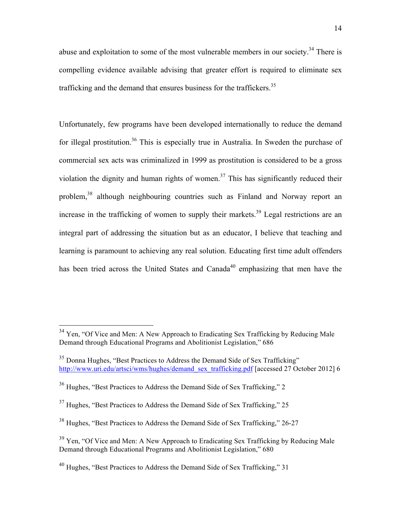abuse and exploitation to some of the most vulnerable members in our society.<sup>34</sup> There is compelling evidence available advising that greater effort is required to eliminate sex trafficking and the demand that ensures business for the traffickers.<sup>35</sup>

Unfortunately, few programs have been developed internationally to reduce the demand for illegal prostitution.<sup>36</sup> This is especially true in Australia. In Sweden the purchase of commercial sex acts was criminalized in 1999 as prostitution is considered to be a gross violation the dignity and human rights of women.<sup>37</sup> This has significantly reduced their problem,38 although neighbouring countries such as Finland and Norway report an increase in the trafficking of women to supply their markets.<sup>39</sup> Legal restrictions are an integral part of addressing the situation but as an educator, I believe that teaching and learning is paramount to achieving any real solution. Educating first time adult offenders has been tried across the United States and Canada<sup>40</sup> emphasizing that men have the

 $34$  Yen, "Of Vice and Men: A New Approach to Eradicating Sex Trafficking by Reducing Male Demand through Educational Programs and Abolitionist Legislation," 686

<sup>&</sup>lt;sup>35</sup> Donna Hughes, "Best Practices to Address the Demand Side of Sex Trafficking" http://www.uri.edu/artsci/wms/hughes/demand\_sex\_trafficking.pdf [accessed 27 October 2012] 6

<sup>36</sup> Hughes, "Best Practices to Address the Demand Side of Sex Trafficking," 2

 $37$  Hughes, "Best Practices to Address the Demand Side of Sex Trafficking," 25

<sup>38</sup> Hughes, "Best Practices to Address the Demand Side of Sex Trafficking," 26-27

 $39$  Yen, "Of Vice and Men: A New Approach to Eradicating Sex Trafficking by Reducing Male Demand through Educational Programs and Abolitionist Legislation," 680

<sup>&</sup>lt;sup>40</sup> Hughes, "Best Practices to Address the Demand Side of Sex Trafficking," 31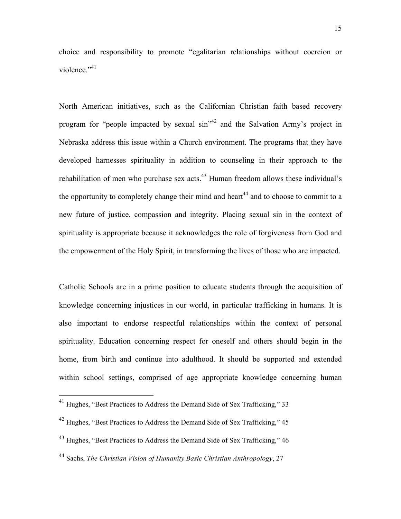choice and responsibility to promote "egalitarian relationships without coercion or violence."<sup>41</sup>

North American initiatives, such as the Californian Christian faith based recovery program for "people impacted by sexual sin"42 and the Salvation Army's project in Nebraska address this issue within a Church environment. The programs that they have developed harnesses spirituality in addition to counseling in their approach to the rehabilitation of men who purchase sex acts.<sup>43</sup> Human freedom allows these individual's the opportunity to completely change their mind and heart<sup>44</sup> and to choose to commit to a new future of justice, compassion and integrity. Placing sexual sin in the context of spirituality is appropriate because it acknowledges the role of forgiveness from God and the empowerment of the Holy Spirit, in transforming the lives of those who are impacted.

Catholic Schools are in a prime position to educate students through the acquisition of knowledge concerning injustices in our world, in particular trafficking in humans. It is also important to endorse respectful relationships within the context of personal spirituality. Education concerning respect for oneself and others should begin in the home, from birth and continue into adulthood. It should be supported and extended within school settings, comprised of age appropriate knowledge concerning human

<sup>&</sup>lt;sup>41</sup> Hughes, "Best Practices to Address the Demand Side of Sex Trafficking," 33

<sup>42</sup> Hughes, "Best Practices to Address the Demand Side of Sex Trafficking," 45

<sup>43</sup> Hughes, "Best Practices to Address the Demand Side of Sex Trafficking," 46

<sup>44</sup> Sachs, *The Christian Vision of Humanity Basic Christian Anthropology*, 27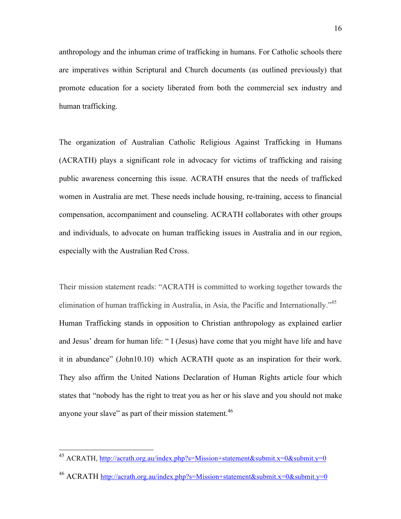anthropology and the inhuman crime of trafficking in humans. For Catholic schools there are imperatives within Scriptural and Church documents (as outlined previously) that promote education for a society liberated from both the commercial sex industry and human trafficking.

The organization of Australian Catholic Religious Against Trafficking in Humans (ACRATH) plays a significant role in advocacy for victims of trafficking and raising public awareness concerning this issue. ACRATH ensures that the needs of trafficked women in Australia are met. These needs include housing, re-training, access to financial compensation, accompaniment and counseling. ACRATH collaborates with other groups and individuals, to advocate on human trafficking issues in Australia and in our region, especially with the Australian Red Cross.

Their mission statement reads: "ACRATH is committed to working together towards the elimination of human trafficking in Australia, in Asia, the Pacific and Internationally.<sup>345</sup> Human Trafficking stands in opposition to Christian anthropology as explained earlier and Jesus' dream for human life: " I (Jesus) have come that you might have life and have it in abundance" (John10.10) which ACRATH quote as an inspiration for their work. They also affirm the United Nations Declaration of Human Rights article four which states that "nobody has the right to treat you as her or his slave and you should not make anyone your slave" as part of their mission statement.<sup>46</sup>

 <sup>45</sup> ACRATH, http://acrath.org.au/index.php?s=Mission+statement&submit.x=0&submit.y=0

<sup>46</sup> ACRATH http://acrath.org.au/index.php?s=Mission+statement&submit.x=0&submit.y=0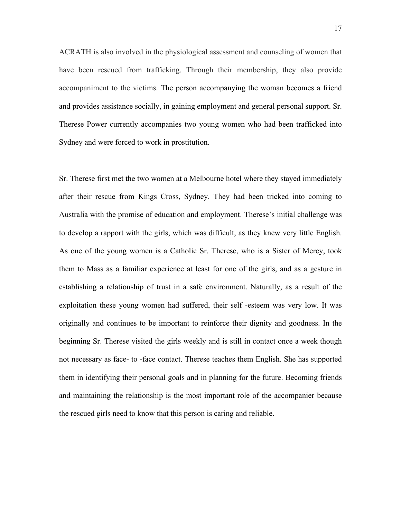ACRATH is also involved in the physiological assessment and counseling of women that have been rescued from trafficking. Through their membership, they also provide accompaniment to the victims. The person accompanying the woman becomes a friend and provides assistance socially, in gaining employment and general personal support. Sr. Therese Power currently accompanies two young women who had been trafficked into Sydney and were forced to work in prostitution.

Sr. Therese first met the two women at a Melbourne hotel where they stayed immediately after their rescue from Kings Cross, Sydney. They had been tricked into coming to Australia with the promise of education and employment. Therese's initial challenge was to develop a rapport with the girls, which was difficult, as they knew very little English. As one of the young women is a Catholic Sr. Therese, who is a Sister of Mercy, took them to Mass as a familiar experience at least for one of the girls, and as a gesture in establishing a relationship of trust in a safe environment. Naturally, as a result of the exploitation these young women had suffered, their self -esteem was very low. It was originally and continues to be important to reinforce their dignity and goodness. In the beginning Sr. Therese visited the girls weekly and is still in contact once a week though not necessary as face- to -face contact. Therese teaches them English. She has supported them in identifying their personal goals and in planning for the future. Becoming friends and maintaining the relationship is the most important role of the accompanier because the rescued girls need to know that this person is caring and reliable.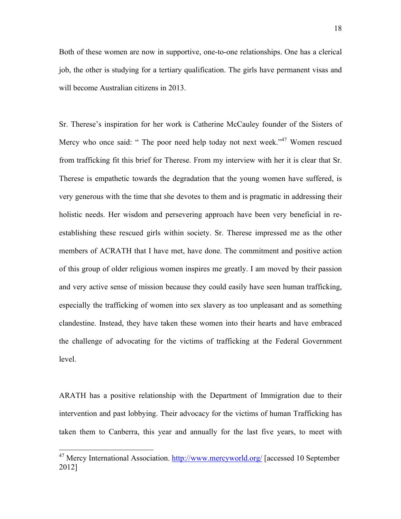Both of these women are now in supportive, one-to-one relationships. One has a clerical job, the other is studying for a tertiary qualification. The girls have permanent visas and will become Australian citizens in 2013.

Sr. Therese's inspiration for her work is Catherine McCauley founder of the Sisters of Mercy who once said: " The poor need help today not next week."<sup>47</sup> Women rescued from trafficking fit this brief for Therese. From my interview with her it is clear that Sr. Therese is empathetic towards the degradation that the young women have suffered, is very generous with the time that she devotes to them and is pragmatic in addressing their holistic needs. Her wisdom and persevering approach have been very beneficial in reestablishing these rescued girls within society. Sr. Therese impressed me as the other members of ACRATH that I have met, have done. The commitment and positive action of this group of older religious women inspires me greatly. I am moved by their passion and very active sense of mission because they could easily have seen human trafficking, especially the trafficking of women into sex slavery as too unpleasant and as something clandestine. Instead, they have taken these women into their hearts and have embraced the challenge of advocating for the victims of trafficking at the Federal Government level.

ARATH has a positive relationship with the Department of Immigration due to their intervention and past lobbying. Their advocacy for the victims of human Trafficking has taken them to Canberra, this year and annually for the last five years, to meet with

<sup>&</sup>lt;sup>47</sup> Mercy International Association. http://www.mercyworld.org/ [accessed 10 September 2012]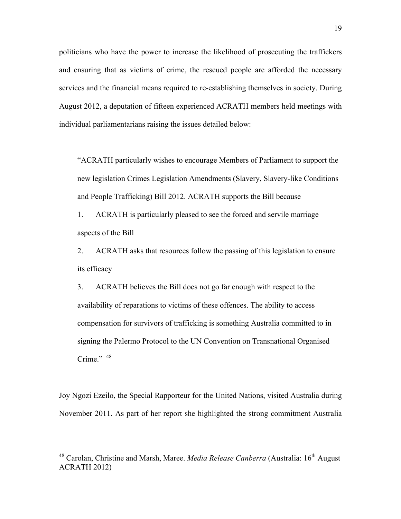politicians who have the power to increase the likelihood of prosecuting the traffickers and ensuring that as victims of crime, the rescued people are afforded the necessary services and the financial means required to re-establishing themselves in society. During August 2012, a deputation of fifteen experienced ACRATH members held meetings with individual parliamentarians raising the issues detailed below:

"ACRATH particularly wishes to encourage Members of Parliament to support the new legislation Crimes Legislation Amendments (Slavery, Slavery-like Conditions and People Trafficking) Bill 2012. ACRATH supports the Bill because

1. ACRATH is particularly pleased to see the forced and servile marriage aspects of the Bill

2. ACRATH asks that resources follow the passing of this legislation to ensure its efficacy

3. ACRATH believes the Bill does not go far enough with respect to the availability of reparations to victims of these offences. The ability to access compensation for survivors of trafficking is something Australia committed to in signing the Palermo Protocol to the UN Convention on Transnational Organised Crime."  $48$ 

Joy Ngozi Ezeilo, the Special Rapporteur for the United Nations, visited Australia during November 2011. As part of her report she highlighted the strong commitment Australia

 <sup>48</sup> Carolan, Christine and Marsh, Maree. *Media Release Canberra* (Australia: 16th August ACRATH 2012)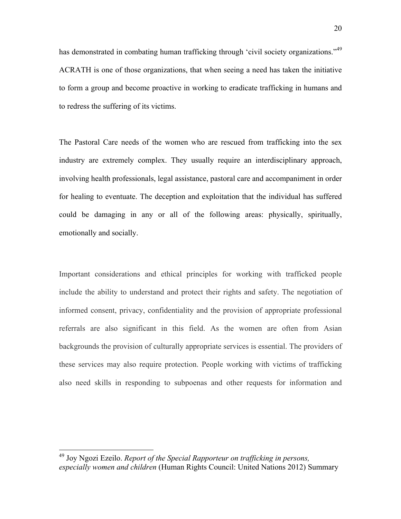has demonstrated in combating human trafficking through 'civil society organizations."<sup>49</sup> ACRATH is one of those organizations, that when seeing a need has taken the initiative to form a group and become proactive in working to eradicate trafficking in humans and to redress the suffering of its victims.

The Pastoral Care needs of the women who are rescued from trafficking into the sex industry are extremely complex. They usually require an interdisciplinary approach, involving health professionals, legal assistance, pastoral care and accompaniment in order for healing to eventuate. The deception and exploitation that the individual has suffered could be damaging in any or all of the following areas: physically, spiritually, emotionally and socially.

Important considerations and ethical principles for working with trafficked people include the ability to understand and protect their rights and safety. The negotiation of informed consent, privacy, confidentiality and the provision of appropriate professional referrals are also significant in this field. As the women are often from Asian backgrounds the provision of culturally appropriate services is essential. The providers of these services may also require protection. People working with victims of trafficking also need skills in responding to subpoenas and other requests for information and

 <sup>49</sup> Joy Ngozi Ezeilo. *Report of the Special Rapporteur on trafficking in persons, especially women and children* (Human Rights Council: United Nations 2012) Summary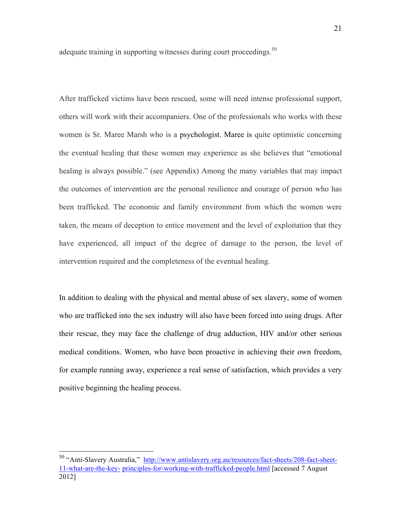adequate training in supporting witnesses during court proceedings.<sup>50</sup>

After trafficked victims have been rescued, some will need intense professional support, others will work with their accompaniers. One of the professionals who works with these women is Sr. Maree Marsh who is a psychologist. Maree is quite optimistic concerning the eventual healing that these women may experience as she believes that "emotional healing is always possible." (see Appendix) Among the many variables that may impact the outcomes of intervention are the personal resilience and courage of person who has been trafficked. The economic and family environment from which the women were taken, the means of deception to entice movement and the level of exploitation that they have experienced, all impact of the degree of damage to the person, the level of intervention required and the completeness of the eventual healing.

In addition to dealing with the physical and mental abuse of sex slavery, some of women who are trafficked into the sex industry will also have been forced into using drugs. After their rescue, they may face the challenge of drug adduction, HIV and/or other serious medical conditions. Women, who have been proactive in achieving their own freedom, for example running away, experience a real sense of satisfaction, which provides a very positive beginning the healing process.

 <sup>50</sup> "Anti-Slavery Australia," http://www.antislavery.org.au/resources/fact-sheets/208-fact-sheet-11-what-are-the-key- principles-for-working-with-trafficked-people.html [accessed 7 August 2012]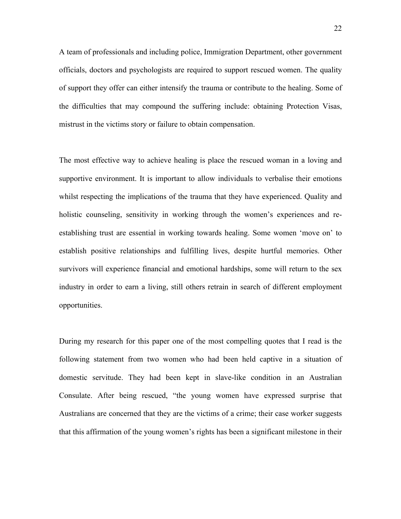A team of professionals and including police, Immigration Department, other government officials, doctors and psychologists are required to support rescued women. The quality of support they offer can either intensify the trauma or contribute to the healing. Some of the difficulties that may compound the suffering include: obtaining Protection Visas, mistrust in the victims story or failure to obtain compensation.

The most effective way to achieve healing is place the rescued woman in a loving and supportive environment. It is important to allow individuals to verbalise their emotions whilst respecting the implications of the trauma that they have experienced. Quality and holistic counseling, sensitivity in working through the women's experiences and reestablishing trust are essential in working towards healing. Some women 'move on' to establish positive relationships and fulfilling lives, despite hurtful memories. Other survivors will experience financial and emotional hardships, some will return to the sex industry in order to earn a living, still others retrain in search of different employment opportunities.

During my research for this paper one of the most compelling quotes that I read is the following statement from two women who had been held captive in a situation of domestic servitude. They had been kept in slave-like condition in an Australian Consulate. After being rescued, "the young women have expressed surprise that Australians are concerned that they are the victims of a crime; their case worker suggests that this affirmation of the young women's rights has been a significant milestone in their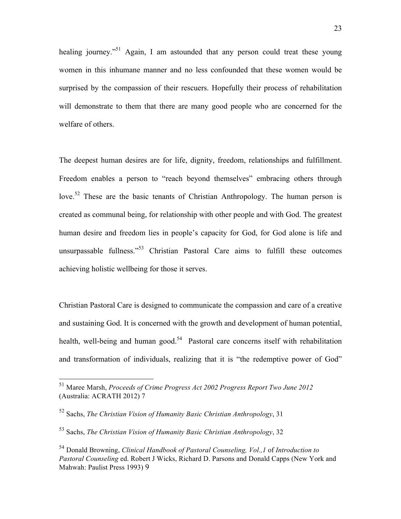healing journey."<sup>51</sup> Again, I am astounded that any person could treat these young women in this inhumane manner and no less confounded that these women would be surprised by the compassion of their rescuers. Hopefully their process of rehabilitation will demonstrate to them that there are many good people who are concerned for the welfare of others.

The deepest human desires are for life, dignity, freedom, relationships and fulfillment. Freedom enables a person to "reach beyond themselves" embracing others through love.<sup>52</sup> These are the basic tenants of Christian Anthropology. The human person is created as communal being, for relationship with other people and with God. The greatest human desire and freedom lies in people's capacity for God, for God alone is life and unsurpassable fullness."<sup>53</sup> Christian Pastoral Care aims to fulfill these outcomes achieving holistic wellbeing for those it serves.

Christian Pastoral Care is designed to communicate the compassion and care of a creative and sustaining God. It is concerned with the growth and development of human potential, health, well-being and human good.<sup>54</sup> Pastoral care concerns itself with rehabilitation and transformation of individuals, realizing that it is "the redemptive power of God"

 <sup>51</sup> Maree Marsh, *Proceeds of Crime Progress Act 2002 Progress Report Two June 2012* (Australia: ACRATH 2012) 7

<sup>52</sup> Sachs, *The Christian Vision of Humanity Basic Christian Anthropology*, 31

<sup>53</sup> Sachs, *The Christian Vision of Humanity Basic Christian Anthropology*, 32

<sup>54</sup> Donald Browning, *Clinical Handbook of Pastoral Counseling, Vol.,1* of *Introduction to Pastoral Counseling* ed. Robert J Wicks, Richard D. Parsons and Donald Capps (New York and Mahwah: Paulist Press 1993) 9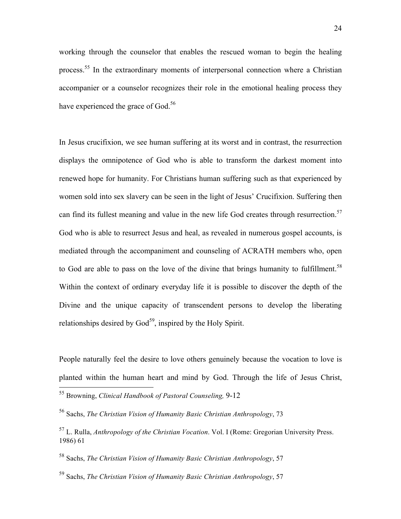working through the counselor that enables the rescued woman to begin the healing process.<sup>55</sup> In the extraordinary moments of interpersonal connection where a Christian accompanier or a counselor recognizes their role in the emotional healing process they have experienced the grace of God.<sup>56</sup>

In Jesus crucifixion, we see human suffering at its worst and in contrast, the resurrection displays the omnipotence of God who is able to transform the darkest moment into renewed hope for humanity. For Christians human suffering such as that experienced by women sold into sex slavery can be seen in the light of Jesus' Crucifixion. Suffering then can find its fullest meaning and value in the new life God creates through resurrection. 57 God who is able to resurrect Jesus and heal, as revealed in numerous gospel accounts, is mediated through the accompaniment and counseling of ACRATH members who, open to God are able to pass on the love of the divine that brings humanity to fulfillment.<sup>58</sup> Within the context of ordinary everyday life it is possible to discover the depth of the Divine and the unique capacity of transcendent persons to develop the liberating relationships desired by  $God<sup>59</sup>$ , inspired by the Holy Spirit.

People naturally feel the desire to love others genuinely because the vocation to love is planted within the human heart and mind by God. Through the life of Jesus Christ,

 <sup>55</sup> Browning, *Clinical Handbook of Pastoral Counseling,* 9-12

<sup>56</sup> Sachs, *The Christian Vision of Humanity Basic Christian Anthropology*, 73

<sup>57</sup> L. Rulla, *Anthropology of the Christian Vocation*. Vol. I (Rome: Gregorian University Press. 1986) 61

<sup>58</sup> Sachs, *The Christian Vision of Humanity Basic Christian Anthropology*, 57

<sup>59</sup> Sachs, *The Christian Vision of Humanity Basic Christian Anthropology*, 57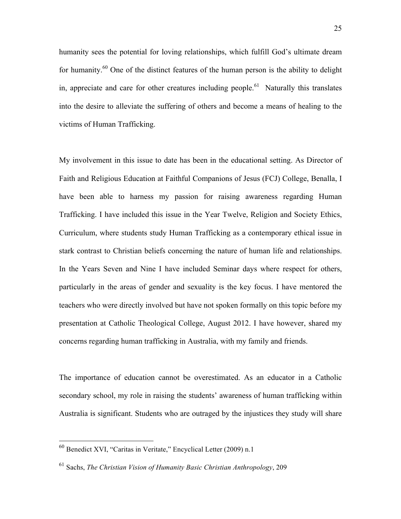humanity sees the potential for loving relationships, which fulfill God's ultimate dream for humanity.<sup>60</sup> One of the distinct features of the human person is the ability to delight in, appreciate and care for other creatures including people.<sup>61</sup> Naturally this translates into the desire to alleviate the suffering of others and become a means of healing to the victims of Human Trafficking.

My involvement in this issue to date has been in the educational setting. As Director of Faith and Religious Education at Faithful Companions of Jesus (FCJ) College, Benalla, I have been able to harness my passion for raising awareness regarding Human Trafficking. I have included this issue in the Year Twelve, Religion and Society Ethics, Curriculum, where students study Human Trafficking as a contemporary ethical issue in stark contrast to Christian beliefs concerning the nature of human life and relationships. In the Years Seven and Nine I have included Seminar days where respect for others, particularly in the areas of gender and sexuality is the key focus. I have mentored the teachers who were directly involved but have not spoken formally on this topic before my presentation at Catholic Theological College, August 2012. I have however, shared my concerns regarding human trafficking in Australia, with my family and friends.

The importance of education cannot be overestimated. As an educator in a Catholic secondary school, my role in raising the students' awareness of human trafficking within Australia is significant. Students who are outraged by the injustices they study will share

 <sup>60</sup> Benedict XVI, "Caritas in Veritate," Encyclical Letter (2009) n.1

<sup>61</sup> Sachs, *The Christian Vision of Humanity Basic Christian Anthropology*, 209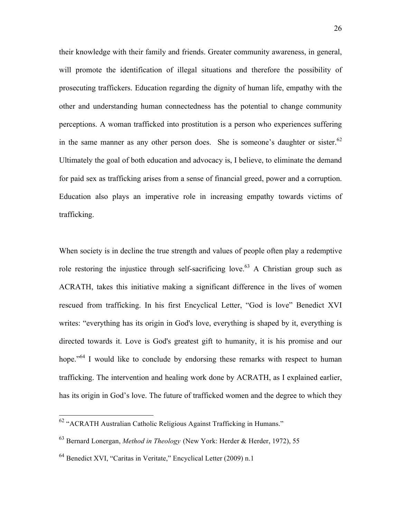their knowledge with their family and friends. Greater community awareness, in general, will promote the identification of illegal situations and therefore the possibility of prosecuting traffickers. Education regarding the dignity of human life, empathy with the other and understanding human connectedness has the potential to change community perceptions. A woman trafficked into prostitution is a person who experiences suffering in the same manner as any other person does. She is someone's daughter or sister.<sup>62</sup> Ultimately the goal of both education and advocacy is, I believe, to eliminate the demand for paid sex as trafficking arises from a sense of financial greed, power and a corruption. Education also plays an imperative role in increasing empathy towards victims of trafficking.

When society is in decline the true strength and values of people often play a redemptive role restoring the injustice through self-sacrificing love.<sup>63</sup> A Christian group such as ACRATH, takes this initiative making a significant difference in the lives of women rescued from trafficking. In his first Encyclical Letter, "God is love" Benedict XVI writes: "everything has its origin in God's love, everything is shaped by it, everything is directed towards it. Love is God's greatest gift to humanity, it is his promise and our hope."<sup>64</sup> I would like to conclude by endorsing these remarks with respect to human trafficking. The intervention and healing work done by ACRATH, as I explained earlier, has its origin in God's love. The future of trafficked women and the degree to which they

 <sup>62</sup> "ACRATH Australian Catholic Religious Against Trafficking in Humans."

<sup>63</sup> Bernard Lonergan, *Method in Theology* (New York: Herder & Herder, 1972), 55

<sup>64</sup> Benedict XVI, "Caritas in Veritate," Encyclical Letter (2009) n.1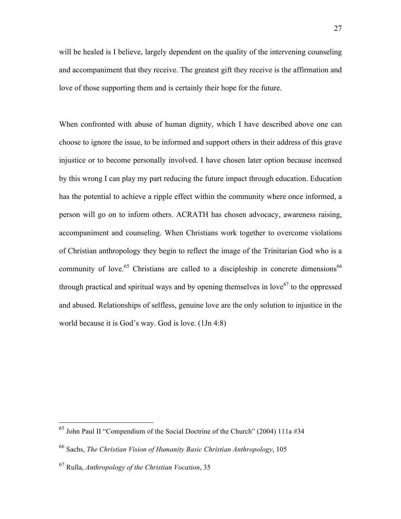will be healed is I believe, largely dependent on the quality of the intervening counseling and accompaniment that they receive. The greatest gift they receive is the affirmation and love of those supporting them and is certainly their hope for the future.

When confronted with abuse of human dignity, which I have described above one can choose to ignore the issue, to be informed and support others in their address of this grave injustice or to become personally involved. I have chosen later option because incensed by this wrong I can play my part reducing the future impact through education. Education has the potential to achieve a ripple effect within the community where once informed, a person will go on to inform others. ACRATH has chosen advocacy, awareness raising, accompaniment and counseling. When Christians work together to overcome violations of Christian anthropology they begin to reflect the image of the Trinitarian God who is a community of love.<sup>65</sup> Christians are called to a discipleship in concrete dimensions<sup>66</sup> through practical and spiritual ways and by opening themselves in love<sup>67</sup> to the oppressed and abused. Relationships of selfless, genuine love are the only solution to injustice in the world because it is God's way. God is love. (1Jn 4:8)

 $65$  John Paul II "Compendium of the Social Doctrine of the Church" (2004) 111a #34

<sup>66</sup> Sachs, *The Christian Vision of Humanity Basic Christian Anthropology*, 105

<sup>67</sup> Rulla, *Anthropology of the Christian Vocation*, 35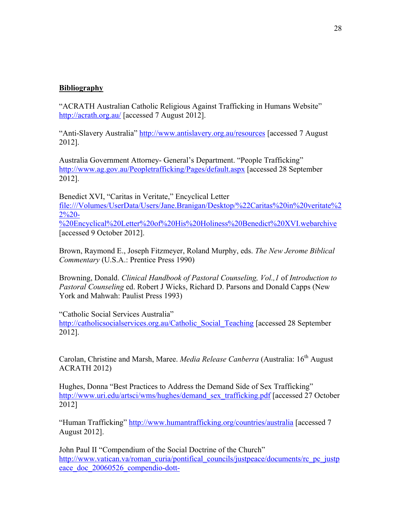### **Bibliography**

"ACRATH Australian Catholic Religious Against Trafficking in Humans Website" http://acrath.org.au/ [accessed 7 August 2012].

"Anti-Slavery Australia" http://www.antislavery.org.au/resources [accessed 7 August 2012].

Australia Government Attorney- General's Department. "People Trafficking" http://www.ag.gov.au/Peopletrafficking/Pages/default.aspx [accessed 28 September 2012].

Benedict XVI, "Caritas in Veritate," Encyclical Letter file:///Volumes/UserData/Users/Jane.Branigan/Desktop/%22Caritas%20in%20veritate%2  $2\frac{6}{2}$ %20Encyclical%20Letter%20of%20His%20Holiness%20Benedict%20XVI.webarchive [accessed 9 October 2012].

Brown, Raymond E., Joseph Fitzmeyer, Roland Murphy, eds. *The New Jerome Biblical Commentary* (U.S.A.: Prentice Press 1990)

Browning, Donald. *Clinical Handbook of Pastoral Counseling, Vol.,1* of *Introduction to Pastoral Counseling* ed. Robert J Wicks, Richard D. Parsons and Donald Capps (New York and Mahwah: Paulist Press 1993)

"Catholic Social Services Australia"

http://catholicsocialservices.org.au/Catholic\_Social\_Teaching [accessed 28 September 2012].

Carolan, Christine and Marsh, Maree. *Media Release Canberra* (Australia: 16th August ACRATH 2012)

Hughes, Donna "Best Practices to Address the Demand Side of Sex Trafficking" http://www.uri.edu/artsci/wms/hughes/demand\_sex\_trafficking.pdf [accessed 27 October 2012]

"Human Trafficking" http://www.humantrafficking.org/countries/australia [accessed 7 August 2012].

John Paul II "Compendium of the Social Doctrine of the Church" http://www.vatican.va/roman\_curia/pontifical\_councils/justpeace/documents/rc\_pc\_justp eace\_doc\_20060526\_compendio-dott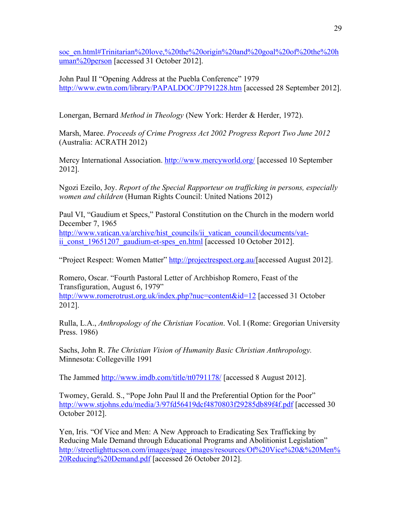soc\_en.html#Trinitarian%20love,%20the%20origin%20and%20goal%20of%20the%20h uman%20person [accessed 31 October 2012].

John Paul II "Opening Address at the Puebla Conference" 1979 http://www.ewtn.com/library/PAPALDOC/JP791228.htm [accessed 28 September 2012].

Lonergan, Bernard *Method in Theology* (New York: Herder & Herder, 1972).

Marsh, Maree. *Proceeds of Crime Progress Act 2002 Progress Report Two June 2012* (Australia: ACRATH 2012)

Mercy International Association. http://www.mercyworld.org/ [accessed 10 September 2012].

Ngozi Ezeilo, Joy. *Report of the Special Rapporteur on trafficking in persons, especially women and children* (Human Rights Council: United Nations 2012)

Paul VI, "Gaudium et Specs," Pastoral Constitution on the Church in the modern world December 7, 1965 http://www.vatican.va/archive/hist\_councils/ii\_vatican\_council/documents/vat-

ii const 19651207 gaudium-et-spes en.html [accessed 10 October 2012].

"Project Respect: Women Matter" http://projectrespect.org.au/[accessed August 2012].

Romero, Oscar. "Fourth Pastoral Letter of Archbishop Romero, Feast of the Transfiguration, August 6, 1979" http://www.romerotrust.org.uk/index.php?nuc=content&id=12 [accessed 31 October 2012].

Rulla, L.A., *Anthropology of the Christian Vocation*. Vol. I (Rome: Gregorian University Press. 1986)

Sachs, John R. *The Christian Vision of Humanity Basic Christian Anthropology.*  Minnesota: Collegeville 1991

The Jammed http://www.imdb.com/title/tt0791178/ [accessed 8 August 2012].

Twomey, Gerald. S., "Pope John Paul lI and the Preferential Option for the Poor" http://www.stjohns.edu/media/3/97fd56419dcf4870803f29285db89f4f.pdf [accessed 30 October 2012].

Yen, Iris. "Of Vice and Men: A New Approach to Eradicating Sex Trafficking by Reducing Male Demand through Educational Programs and Abolitionist Legislation" http://streetlighttucson.com/images/page\_images/resources/Of%20Vice%20&%20Men% 20Reducing%20Demand.pdf [accessed 26 October 2012].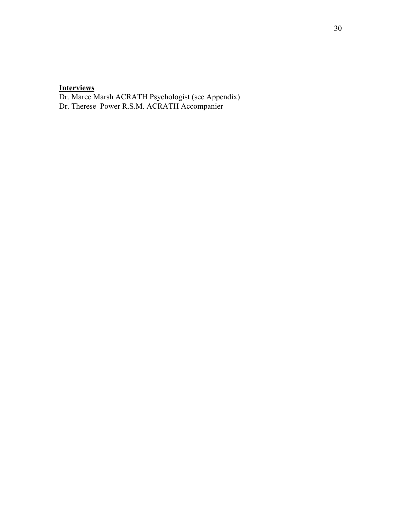#### **Interviews**

Dr. Maree Marsh ACRATH Psychologist (see Appendix)

Dr. Therese Power R.S.M. ACRATH Accompanier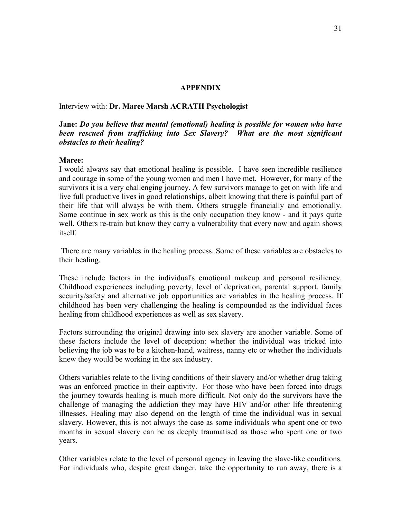### **APPENDIX**

Interview with: **Dr. Maree Marsh ACRATH Psychologist**

### **Jane:** *Do you believe that mental (emotional) healing is possible for women who have been rescued from trafficking into Sex Slavery? What are the most significant obstacles to their healing?*

#### **Maree:**

I would always say that emotional healing is possible. I have seen incredible resilience and courage in some of the young women and men I have met. However, for many of the survivors it is a very challenging journey. A few survivors manage to get on with life and live full productive lives in good relationships, albeit knowing that there is painful part of their life that will always be with them. Others struggle financially and emotionally. Some continue in sex work as this is the only occupation they know - and it pays quite well. Others re-train but know they carry a vulnerability that every now and again shows itself.

 There are many variables in the healing process. Some of these variables are obstacles to their healing.

These include factors in the individual's emotional makeup and personal resiliency. Childhood experiences including poverty, level of deprivation, parental support, family security/safety and alternative job opportunities are variables in the healing process. If childhood has been very challenging the healing is compounded as the individual faces healing from childhood experiences as well as sex slavery.

Factors surrounding the original drawing into sex slavery are another variable. Some of these factors include the level of deception: whether the individual was tricked into believing the job was to be a kitchen-hand, waitress, nanny etc or whether the individuals knew they would be working in the sex industry.

Others variables relate to the living conditions of their slavery and/or whether drug taking was an enforced practice in their captivity. For those who have been forced into drugs the journey towards healing is much more difficult. Not only do the survivors have the challenge of managing the addiction they may have HIV and/or other life threatening illnesses. Healing may also depend on the length of time the individual was in sexual slavery. However, this is not always the case as some individuals who spent one or two months in sexual slavery can be as deeply traumatised as those who spent one or two years.

Other variables relate to the level of personal agency in leaving the slave-like conditions. For individuals who, despite great danger, take the opportunity to run away, there is a